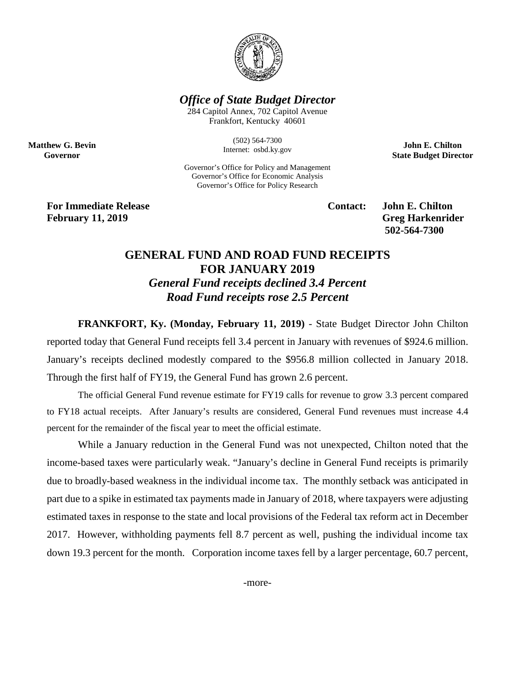

## *Office of State Budget Director*

284 Capitol Annex, 702 Capitol Avenue Frankfort, Kentucky 40601

> (502) 564-7300 Internet: osbd.ky.gov

Governor's Office for Policy and Management Governor's Office for Economic Analysis Governor's Office for Policy Research

**John E. Chilton State Budget Director**

**For Immediate Release Contact: John E. Chilton February** 11, 2019 Greg Harkenrider

**Matthew G. Bevin Governor**

**502-564-7300** 

## **GENERAL FUND AND ROAD FUND RECEIPTS FOR JANUARY 2019** *General Fund receipts declined 3.4 Percent Road Fund receipts rose 2.5 Percent*

**FRANKFORT, Ky. (Monday, February 11, 2019)** - State Budget Director John Chilton reported today that General Fund receipts fell 3.4 percent in January with revenues of \$924.6 million. January's receipts declined modestly compared to the \$956.8 million collected in January 2018. Through the first half of FY19, the General Fund has grown 2.6 percent.

The official General Fund revenue estimate for FY19 calls for revenue to grow 3.3 percent compared to FY18 actual receipts. After January's results are considered, General Fund revenues must increase 4.4 percent for the remainder of the fiscal year to meet the official estimate.

While a January reduction in the General Fund was not unexpected, Chilton noted that the income-based taxes were particularly weak. "January's decline in General Fund receipts is primarily due to broadly-based weakness in the individual income tax. The monthly setback was anticipated in part due to a spike in estimated tax payments made in January of 2018, where taxpayers were adjusting estimated taxes in response to the state and local provisions of the Federal tax reform act in December 2017. However, withholding payments fell 8.7 percent as well, pushing the individual income tax down 19.3 percent for the month. Corporation income taxes fell by a larger percentage, 60.7 percent,

-more-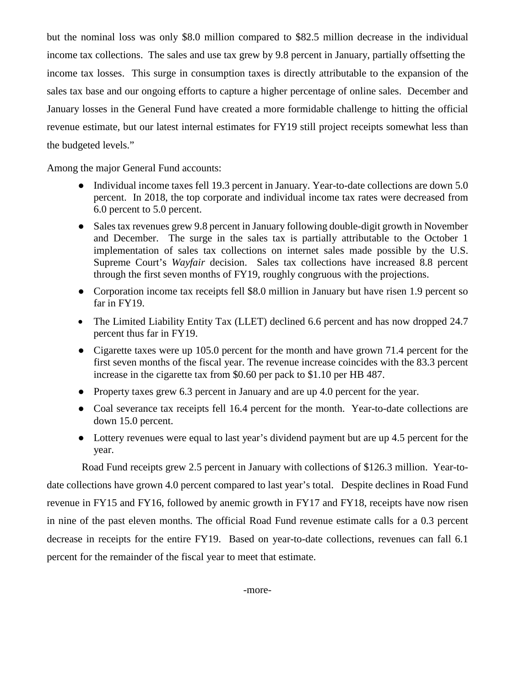but the nominal loss was only \$8.0 million compared to \$82.5 million decrease in the individual income tax collections. The sales and use tax grew by 9.8 percent in January, partially offsetting the income tax losses. This surge in consumption taxes is directly attributable to the expansion of the sales tax base and our ongoing efforts to capture a higher percentage of online sales. December and January losses in the General Fund have created a more formidable challenge to hitting the official revenue estimate, but our latest internal estimates for FY19 still project receipts somewhat less than the budgeted levels."

Among the major General Fund accounts:

- Individual income taxes fell 19.3 percent in January. Year-to-date collections are down 5.0 percent. In 2018, the top corporate and individual income tax rates were decreased from 6.0 percent to 5.0 percent.
- Sales tax revenues grew 9.8 percent in January following double-digit growth in November and December. The surge in the sales tax is partially attributable to the October 1 implementation of sales tax collections on internet sales made possible by the U.S. Supreme Court's *Wayfair* decision. Sales tax collections have increased 8.8 percent through the first seven months of FY19, roughly congruous with the projections.
- Corporation income tax receipts fell \$8.0 million in January but have risen 1.9 percent so far in FY19.
- The Limited Liability Entity Tax (LLET) declined 6.6 percent and has now dropped 24.7 percent thus far in FY19.
- Cigarette taxes were up 105.0 percent for the month and have grown 71.4 percent for the first seven months of the fiscal year. The revenue increase coincides with the 83.3 percent increase in the cigarette tax from \$0.60 per pack to \$1.10 per HB 487.
- Property taxes grew 6.3 percent in January and are up 4.0 percent for the year.
- Coal severance tax receipts fell 16.4 percent for the month. Year-to-date collections are down 15.0 percent.
- Lottery revenues were equal to last year's dividend payment but are up 4.5 percent for the year.

Road Fund receipts grew 2.5 percent in January with collections of \$126.3 million. Year-todate collections have grown 4.0 percent compared to last year's total. Despite declines in Road Fund revenue in FY15 and FY16, followed by anemic growth in FY17 and FY18, receipts have now risen in nine of the past eleven months. The official Road Fund revenue estimate calls for a 0.3 percent decrease in receipts for the entire FY19. Based on year-to-date collections, revenues can fall 6.1 percent for the remainder of the fiscal year to meet that estimate.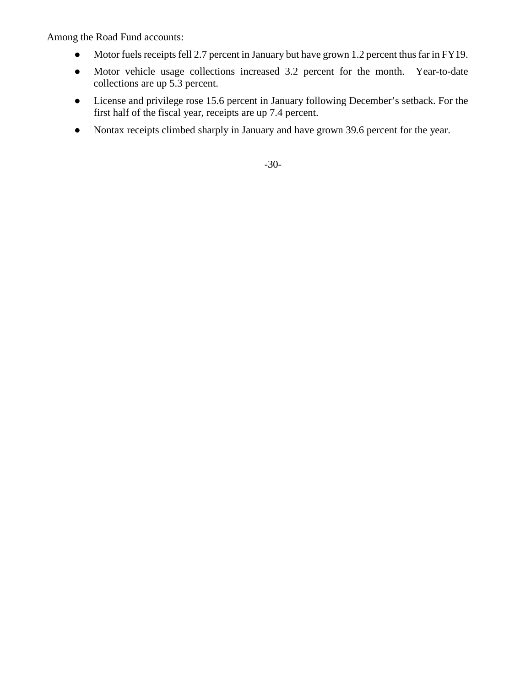Among the Road Fund accounts:

- Motor fuels receipts fell 2.7 percent in January but have grown 1.2 percent thus far in FY19.
- Motor vehicle usage collections increased 3.2 percent for the month. Year-to-date collections are up 5.3 percent.
- License and privilege rose 15.6 percent in January following December's setback. For the first half of the fiscal year, receipts are up 7.4 percent.
- Nontax receipts climbed sharply in January and have grown 39.6 percent for the year.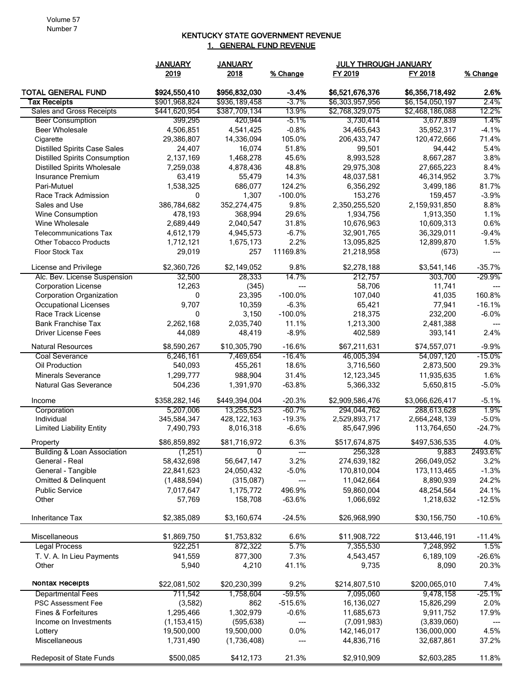## KENTUCKY STATE GOVERNMENT REVENUE 1. GENERAL FUND REVENUE

|                                                                | <b>JANUARY</b>      | <b>JULY THROUGH JANUARY</b><br><b>JANUARY</b> |                  |                          |                 |              |
|----------------------------------------------------------------|---------------------|-----------------------------------------------|------------------|--------------------------|-----------------|--------------|
|                                                                | 2019                | 2018                                          | % Change         | FY 2019                  | FY 2018         | % Change     |
| <b>TOTAL GENERAL FUND</b>                                      | \$924,550,410       | \$956,832,030                                 | $-3.4%$          | \$6,521,676,376          | \$6,356,718,492 | 2.6%         |
| <b>Tax Receipts</b>                                            | \$901,968,824       | \$936,189,458                                 | $-3.7\%$         | \$6,303,957,956          | \$6,154,050,197 | 2.4%         |
| Sales and Gross Receipts                                       | \$441,620,954       | \$387,709,134                                 | 13.9%            | \$2,768,329,075          | \$2,468,186,088 | 12.2%        |
| <b>Beer Consumption</b>                                        | 399,295             | 420,944                                       | $-5.1%$          | 3,730,414                | 3,677,839       | 1.4%         |
| <b>Beer Wholesale</b>                                          | 4,506,851           | 4,541,425                                     | $-0.8%$          | 34,465,643               | 35,952,317      | $-4.1%$      |
| Cigarette                                                      | 29,386,807          | 14,336,094                                    | 105.0%           | 206,433,747              | 120,472,666     | 71.4%        |
| <b>Distilled Spirits Case Sales</b>                            | 24,407              | 16,074                                        | 51.8%            | 99,501                   | 94,442          | 5.4%         |
| <b>Distilled Spirits Consumption</b>                           | 2,137,169           | 1,468,278                                     | 45.6%            | 8,993,528                | 8,667,287       | 3.8%         |
| <b>Distilled Spirits Wholesale</b>                             | 7,259,038           | 4,878,436                                     | 48.8%            | 29,975,308               | 27,665,223      | 8.4%         |
| Insurance Premium                                              | 63,419              | 55,479                                        | 14.3%            | 48,037,581               | 46,314,952      | 3.7%         |
| Pari-Mutuel                                                    | 1,538,325           | 686,077                                       | 124.2%           | 6,356,292                | 3,499,186       | 81.7%        |
| Race Track Admission                                           | 0                   | 1,307                                         | $-100.0%$        | 153,276                  | 159,457         | $-3.9%$      |
| Sales and Use                                                  | 386,784,682         | 352,274,475                                   | 9.8%             | 2,350,255,520            | 2,159,931,850   | 8.8%         |
| Wine Consumption                                               | 478,193             | 368,994                                       | 29.6%            | 1,934,756                | 1,913,350       | 1.1%<br>0.6% |
| Wine Wholesale                                                 | 2,689,449           | 2,040,547                                     | 31.8%<br>$-6.7%$ | 10,676,963               | 10,609,313      | $-9.4%$      |
| <b>Telecommunications Tax</b><br><b>Other Tobacco Products</b> | 4,612,179           | 4,945,573                                     | 2.2%             | 32,901,765<br>13,095,825 | 36,329,011      | 1.5%         |
| <b>Floor Stock Tax</b>                                         | 1,712,121<br>29,019 | 1,675,173<br>257                              | 11169.8%         |                          | 12,899,870      |              |
|                                                                |                     |                                               |                  | 21,218,958               | (673)           | $---$        |
| License and Privilege                                          | \$2,360,726         | \$2,149,052                                   | 9.8%             | \$2,278,188              | \$3,541,146     | $-35.7%$     |
| Alc. Bev. License Suspension                                   | 32,500              | 28,333                                        | 14.7%            | 212,757                  | 303,700         | -29.9%       |
| <b>Corporation License</b>                                     | 12,263              | (345)                                         | $\overline{a}$   | 58,706                   | 11,741          | ---          |
| <b>Corporation Organization</b>                                | 0                   | 23,395                                        | $-100.0%$        | 107,040                  | 41,035          | 160.8%       |
| <b>Occupational Licenses</b>                                   | 9,707               | 10,359                                        | $-6.3%$          | 65,421                   | 77,941          | $-16.1%$     |
| Race Track License                                             | 0                   | 3,150                                         | $-100.0%$        | 218,375                  | 232,200         | $-6.0%$      |
| <b>Bank Franchise Tax</b>                                      | 2,262,168           | 2,035,740                                     | 11.1%            | 1,213,300                | 2,481,388       |              |
| <b>Driver License Fees</b>                                     | 44,089              | 48,419                                        | $-8.9%$          | 402,589                  | 393,141         | 2.4%         |
| <b>Natural Resources</b>                                       | \$8,590,267         | \$10,305,790                                  | $-16.6%$         | \$67,211,631             | \$74,557,071    | $-9.9%$      |
| <b>Coal Severance</b>                                          | 6,246,161           | 7,469,654                                     | $-16.4%$         | 46,005,394               | 54,097,120      | -15.0%       |
| Oil Production                                                 | 540,093             | 455,261                                       | 18.6%            | 3,716,560                | 2,873,500       | 29.3%        |
| <b>Minerals Severance</b>                                      | 1,299,777           | 988,904                                       | 31.4%            | 12,123,345               | 11,935,635      | 1.6%         |
| <b>Natural Gas Severance</b>                                   | 504,236             | 1,391,970                                     | $-63.8%$         | 5,366,332                | 5,650,815       | $-5.0%$      |
| Income                                                         | \$358,282,146       | \$449,394,004                                 | $-20.3%$         | \$2,909,586,476          | \$3,066,626,417 | $-5.1%$      |
| Corporation                                                    | 5,207,006           | 13,255,523                                    | $-60.7%$         | 294,044,762              | 288,613,628     | 1.9%         |
| Individual                                                     | 345,584,347         | 428, 122, 163                                 | $-19.3%$         | 2,529,893,717            | 2,664,248,139   | $-5.0%$      |
| <b>Limited Liability Entity</b>                                | 7,490,793           | 8,016,318                                     | $-6.6%$          | 85,647,996               | 113,764,650     | $-24.7%$     |
| Property                                                       | \$86,859,892        | \$81,716,972                                  | 6.3%             | \$517,674,875            | \$497,536,535   | 4.0%         |
| <b>Building &amp; Loan Association</b>                         | (1,251)             | 0                                             | ---              | 256,328                  | 9,883           | 2493.6%      |
| General - Real                                                 | 58,432,698          | 56,647,147                                    | 3.2%             | 274,639,182              | 266,049,052     | 3.2%         |
| General - Tangible                                             | 22,841,623          | 24,050,432                                    | $-5.0%$          | 170,810,004              | 173,113,465     | $-1.3%$      |
| Omitted & Delinquent                                           | (1,488,594)         | (315,087)                                     | ---              | 11,042,664               | 8,890,939       | 24.2%        |
| <b>Public Service</b>                                          | 7,017,647           | 1,175,772                                     | 496.9%           | 59,860,004               | 48,254,564      | 24.1%        |
| Other                                                          | 57,769              | 158,708                                       | $-63.6%$         | 1,066,692                | 1,218,632       | $-12.5%$     |
| Inheritance Tax                                                | \$2,385,089         | \$3,160,674                                   | $-24.5%$         | \$26,968,990             | \$30,156,750    | $-10.6%$     |
| Miscellaneous                                                  | \$1,869,750         | \$1,753,832                                   | 6.6%             | \$11,908,722             | \$13,446,191    | $-11.4%$     |
| <b>Legal Process</b>                                           | 922,251             | 872,322                                       | 5.7%             | 7,355,530                | 7,248,992       | 1.5%         |
| T. V. A. In Lieu Payments                                      | 941,559             | 877,300                                       | 7.3%             | 4,543,457                | 6,189,109       | $-26.6%$     |
| Other                                                          | 5,940               | 4,210                                         | 41.1%            | 9,735                    | 8,090           | 20.3%        |
| Nontax Receipts                                                | \$22,081,502        | \$20,230,399                                  | 9.2%             | \$214,807,510            | \$200,065,010   | 7.4%         |
| <b>Departmental Fees</b>                                       | 711,542             | 1,758,604                                     | $-59.5%$         | 7,095,060                | 9,478,158       | -25.1%       |
| <b>PSC Assessment Fee</b>                                      | (3,582)             | 862                                           | $-515.6%$        | 16,136,027               | 15,826,299      | 2.0%         |
| <b>Fines &amp; Forfeitures</b>                                 | 1,295,466           | 1,302,979                                     | $-0.6%$          | 11,685,673               | 9,911,752       | 17.9%        |
| Income on Investments                                          | (1, 153, 415)       | (595, 638)                                    | ---              | (7,091,983)              | (3,839,060)     |              |
| Lottery                                                        | 19,500,000          | 19,500,000                                    | 0.0%             | 142,146,017              | 136,000,000     | 4.5%         |
| Miscellaneous                                                  | 1,731,490           | (1,736,408)                                   |                  | 44,836,716               | 32,687,861      | 37.2%        |
| Redeposit of State Funds                                       | \$500,085           | \$412,173                                     | 21.3%            | \$2,910,909              | \$2,603,285     | 11.8%        |